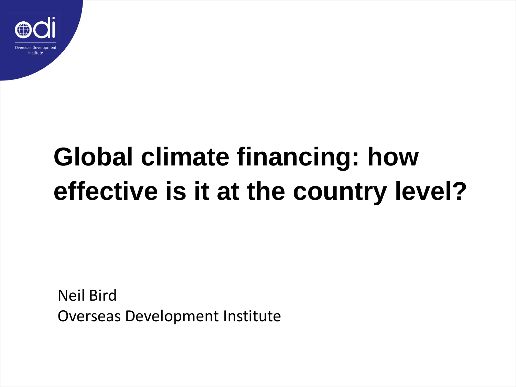

# **Global climate financing: how effective is it at the country level?**

Neil Bird Overseas Development Institute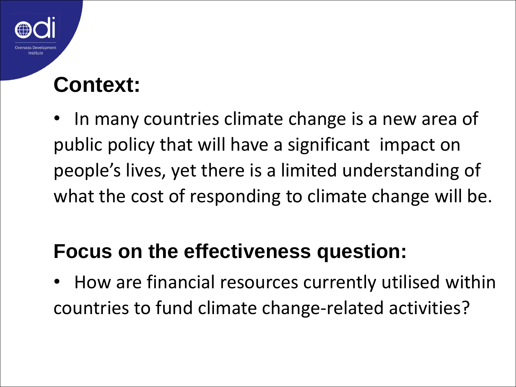#### **Context:**

In many countries climate change is a new area of public policy that will have a significant impact on people's lives, yet there is a limited understanding of what the cost of responding to climate change will be.

#### **Focus on the effectiveness question:**

• How are financial resources currently utilised within countries to fund climate change-related activities?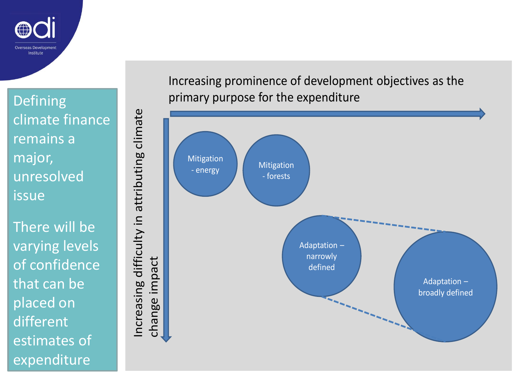

Defining climate finance remains a major, unresolved issue

There will be varying levels of confidence that can be placed on different estimates of expenditure

Increasing difficulty in attributing climate Increasing difficulty in attributing climate change impact



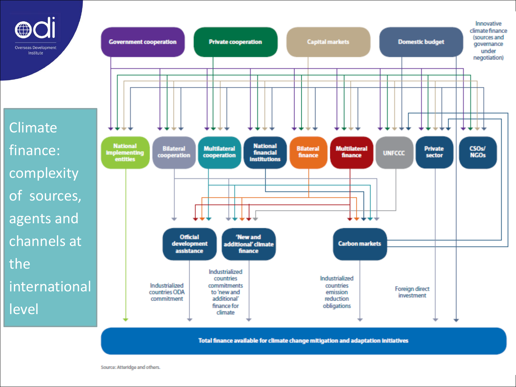

**Climate** finance: complexity of sources, agents and channels at the international level



Total finance available for climate change mitigation and adaptation initiatives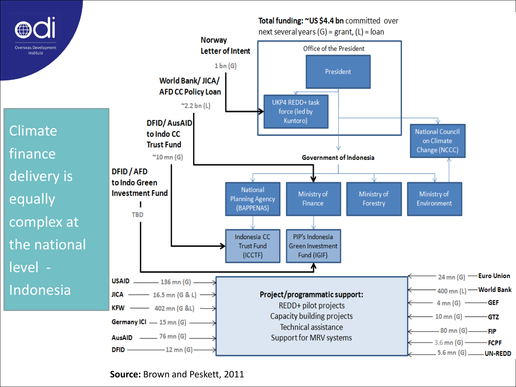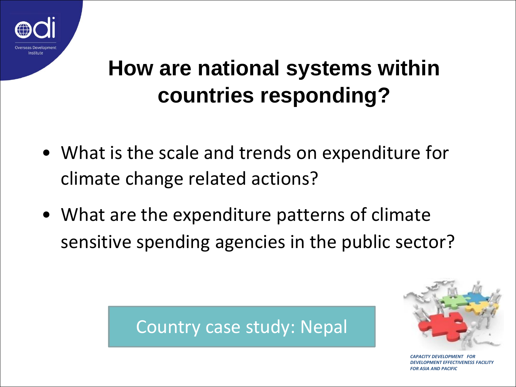

### **How are national systems within countries responding?**

- What is the scale and trends on expenditure for climate change related actions?
- What are the expenditure patterns of climate sensitive spending agencies in the public sector?





**PACITY DEVELOPMENT FOR** *DENT EFFECTIVENESS FACILITY FOR ASIA AND PACIFIC*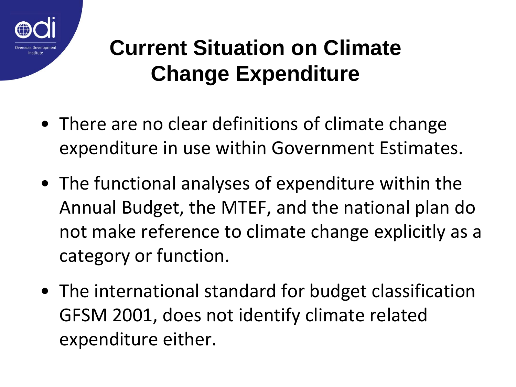

#### **Current Situation on Climate Change Expenditure**

- There are no clear definitions of climate change expenditure in use within Government Estimates.
- The functional analyses of expenditure within the Annual Budget, the MTEF, and the national plan do not make reference to climate change explicitly as a category or function.
- The international standard for budget classification GFSM 2001, does not identify climate related expenditure either.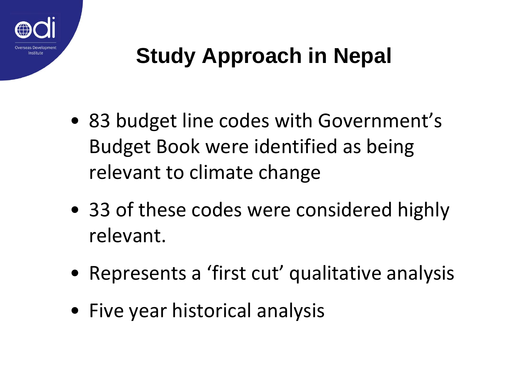

## **Study Approach in Nepal**

- 83 budget line codes with Government's Budget Book were identified as being relevant to climate change
- 33 of these codes were considered highly relevant.
- Represents a 'first cut' qualitative analysis
- Five year historical analysis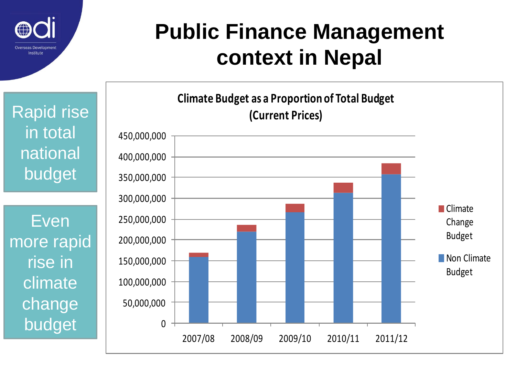

#### **Public Finance Management context in Nepal**

Rapid rise in total national budget

Even more rapid rise in climate change budget

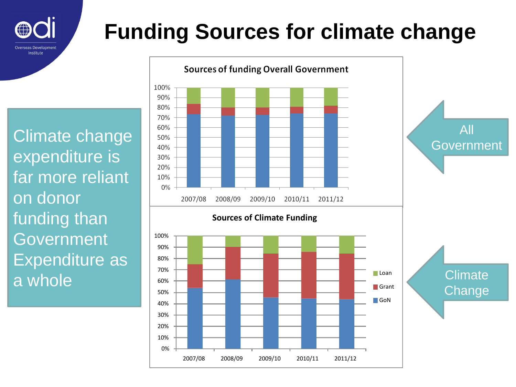

## **Funding Sources for climate change**

Climate change expenditure is far more reliant on donor funding than Government Expenditure as a whole

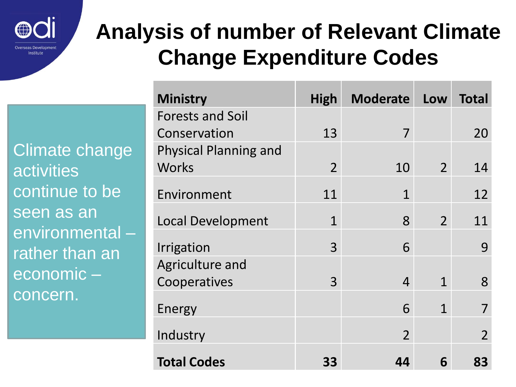

#### **Analysis of number of Relevant Climate Change Expenditure Codes**

Climate change activities continue to be seen as an environmental – rather than an economic – concern.

| <b>Ministry</b>              | <b>High</b>    | <b>Moderate</b> | Low            | <b>Total</b>   |
|------------------------------|----------------|-----------------|----------------|----------------|
| <b>Forests and Soil</b>      |                |                 |                |                |
| Conservation                 | 13             | 7               |                | 20             |
| <b>Physical Planning and</b> |                |                 |                |                |
| <b>Works</b>                 | $\overline{2}$ | 10              | $\overline{2}$ | 14             |
| Environment                  | 11             | $\mathbf{1}$    |                | 12             |
| <b>Local Development</b>     | $\mathbf{1}$   | 8               | $\overline{2}$ | 11             |
| Irrigation                   | 3              | 6               |                | 9              |
| Agriculture and              |                |                 |                |                |
| Cooperatives                 | 3              | $\overline{4}$  | 1              | 8              |
| Energy                       |                | 6               | 1              |                |
| Industry                     |                | $\overline{2}$  |                | $\overline{2}$ |
| <b>Total Codes</b>           | 33             | 44              | 6              | 83             |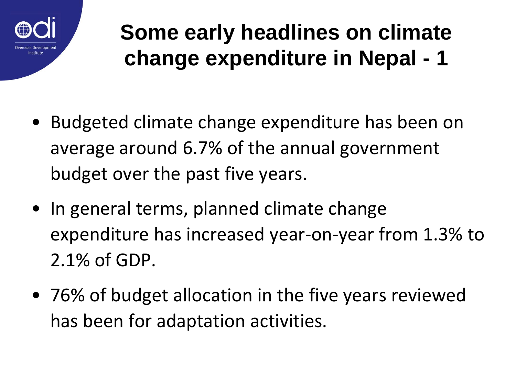

## **Some early headlines on climate change expenditure in Nepal - 1**

- Budgeted climate change expenditure has been on average around 6.7% of the annual government budget over the past five years.
- In general terms, planned climate change expenditure has increased year-on-year from 1.3% to 2.1% of GDP.
- 76% of budget allocation in the five years reviewed has been for adaptation activities.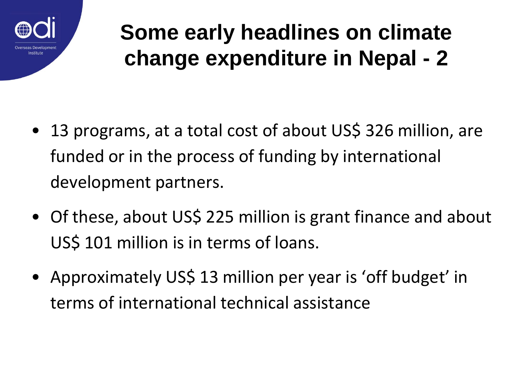

#### **Some early headlines on climate change expenditure in Nepal - 2**

- 13 programs, at a total cost of about US\$ 326 million, are funded or in the process of funding by international development partners.
- Of these, about US\$ 225 million is grant finance and about US\$ 101 million is in terms of loans.
- Approximately US\$ 13 million per year is 'off budget' in terms of international technical assistance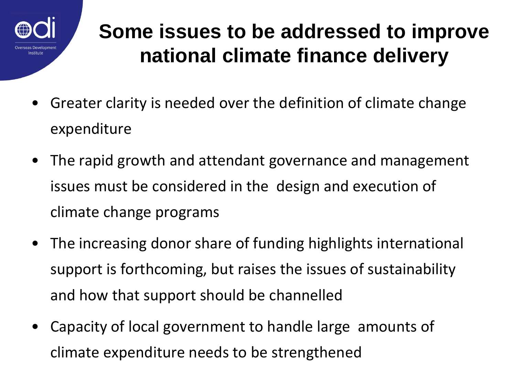

#### **Some issues to be addressed to improve national climate finance delivery**

- Greater clarity is needed over the definition of climate change expenditure
- The rapid growth and attendant governance and management issues must be considered in the design and execution of climate change programs
- The increasing donor share of funding highlights international support is forthcoming, but raises the issues of sustainability and how that support should be channelled
- Capacity of local government to handle large amounts of climate expenditure needs to be strengthened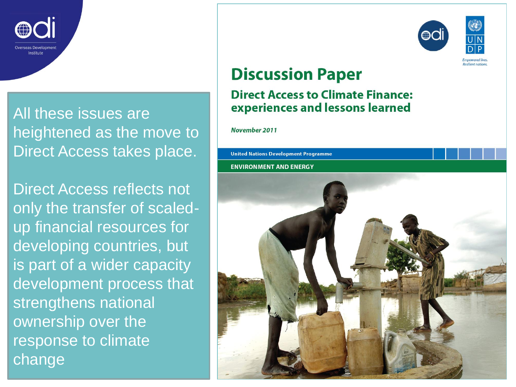

All these issues are heightened as the move to Direct Access takes place.

Direct Access reflects not only the transfer of scaledup financial resources for developing countries, but is part of a wider capacity development process that strengthens national ownership over the response to climate change



#### **Discussion Paper**

#### **Direct Access to Climate Finance:** experiences and lessons learned

November 2011

**United Nations Development Programme** 

**ENVIRONMENT AND ENERGY**